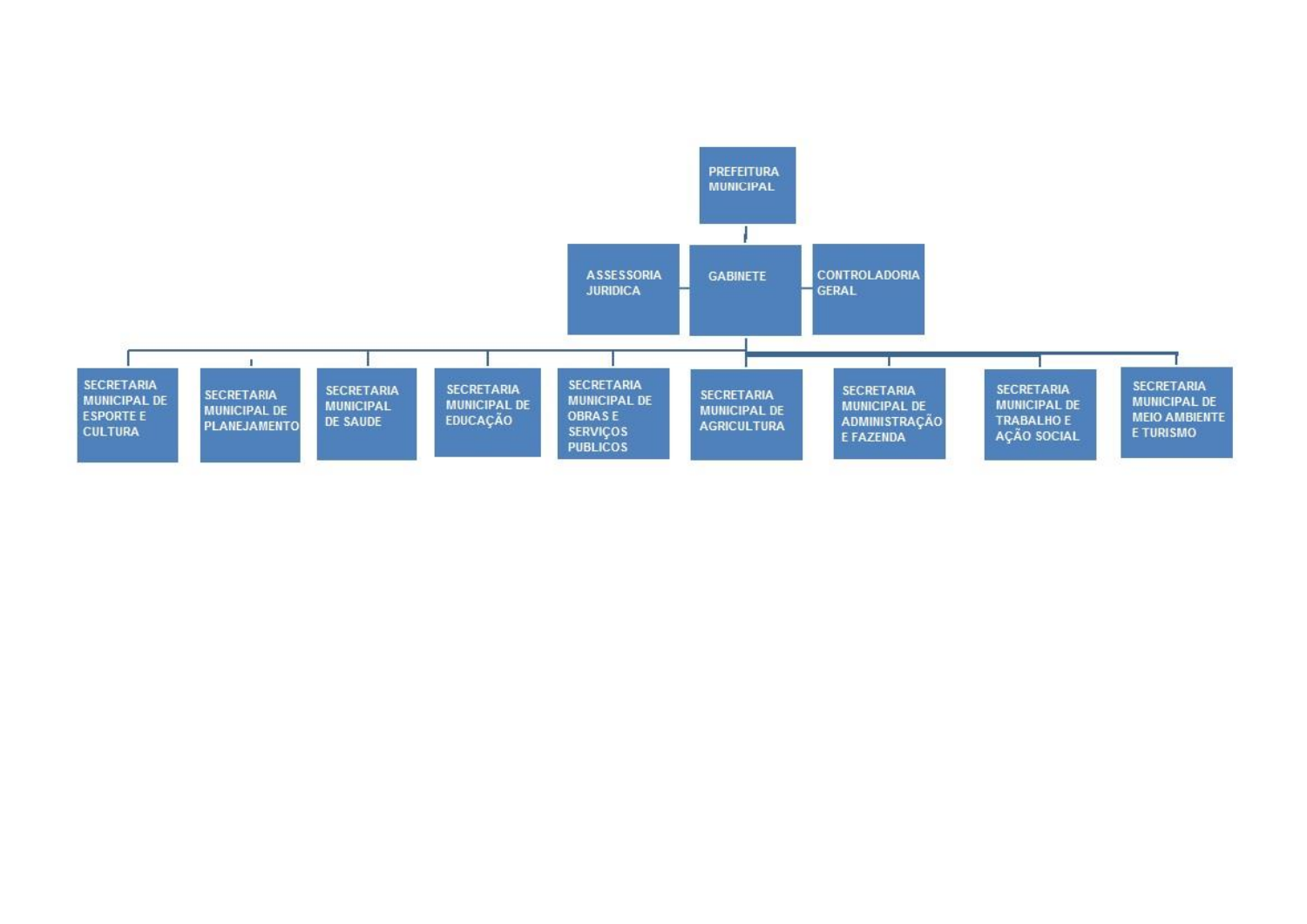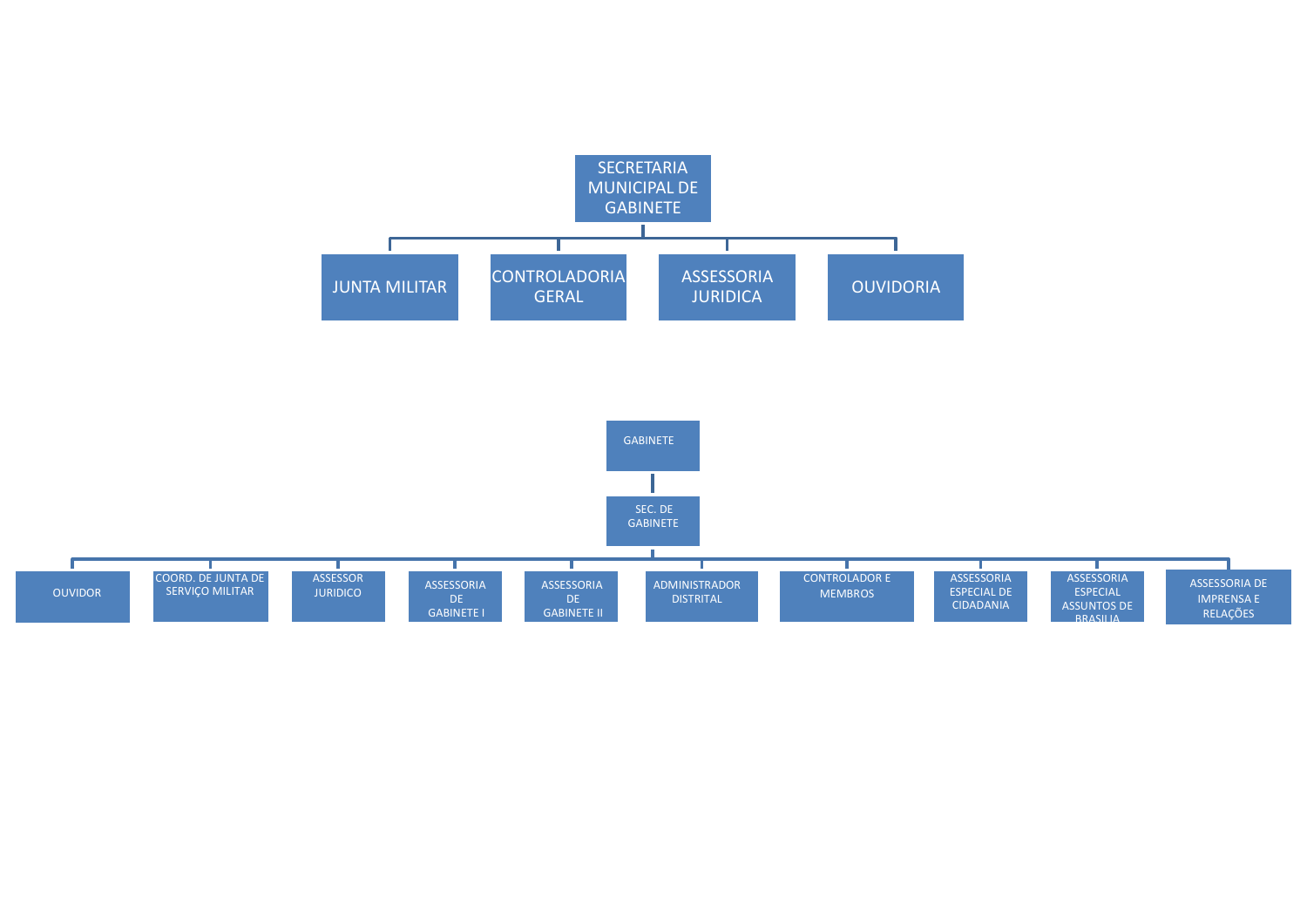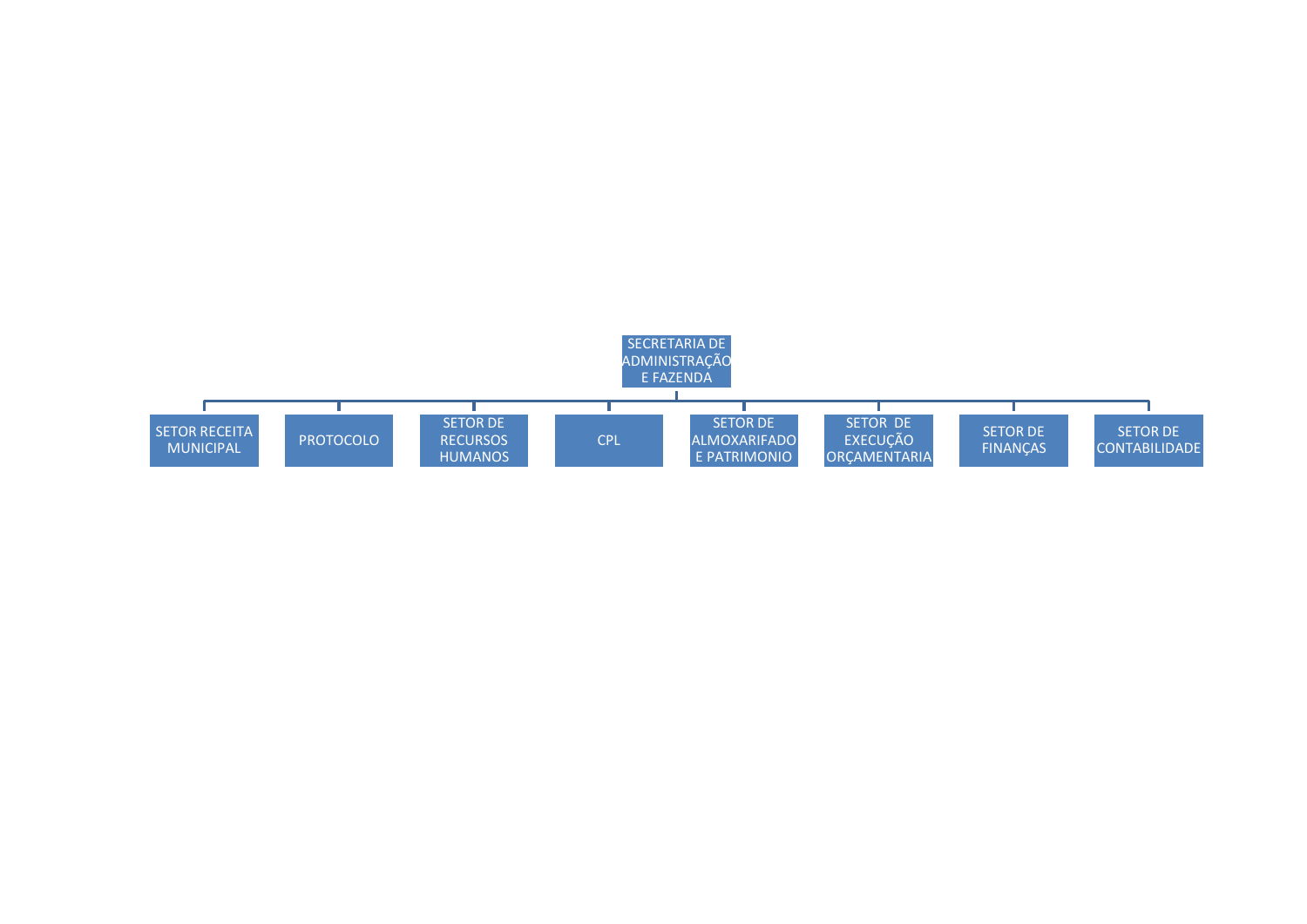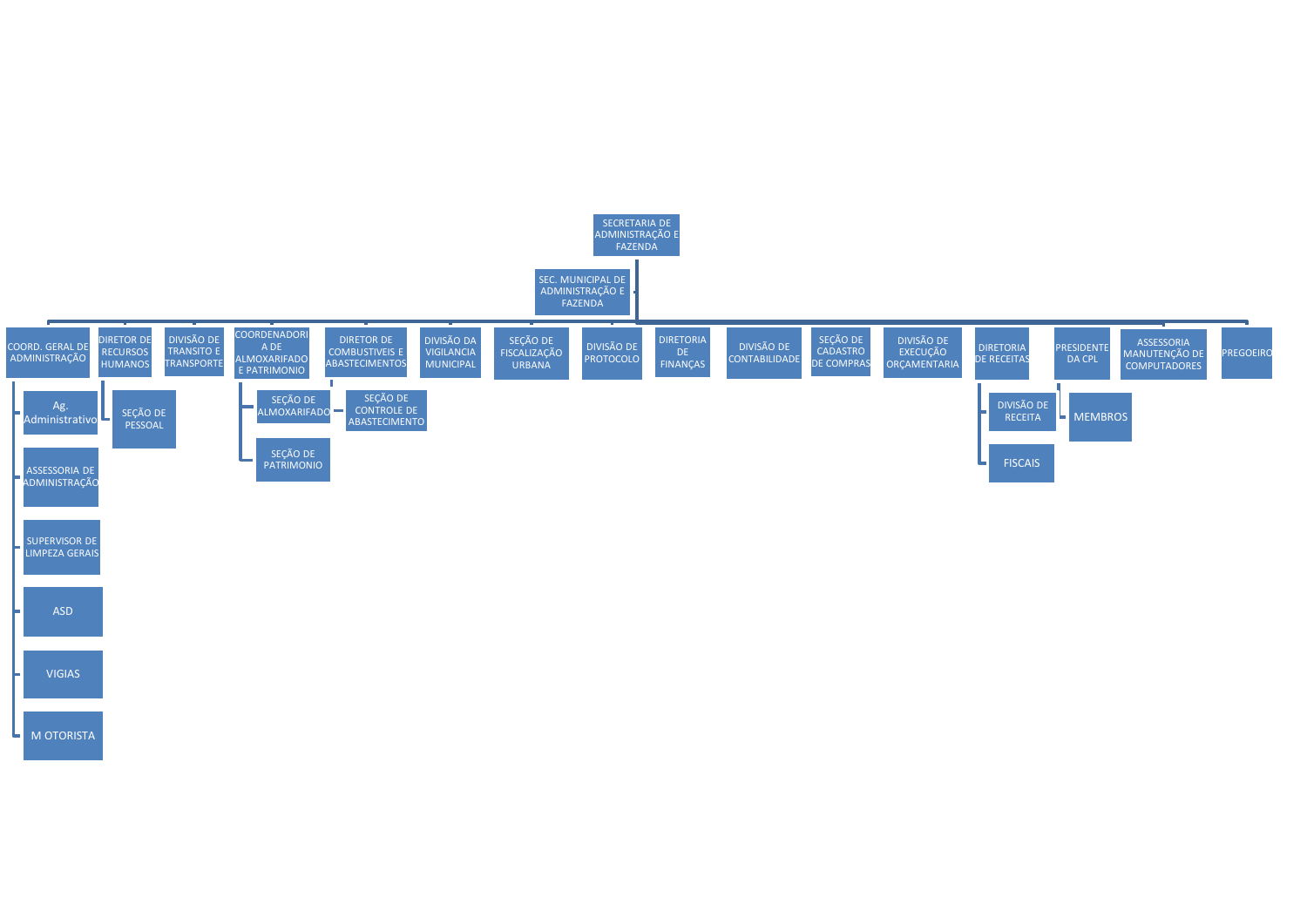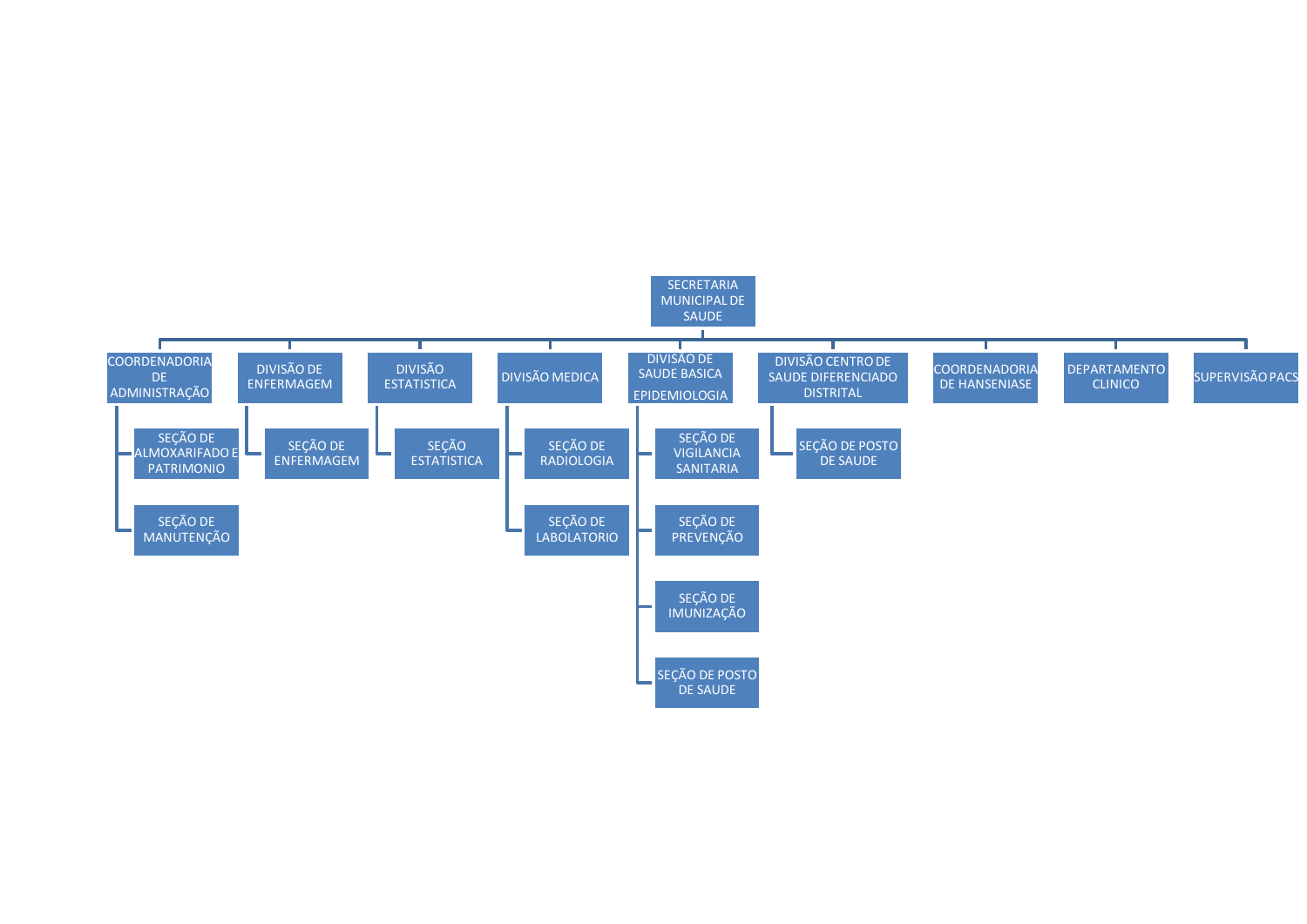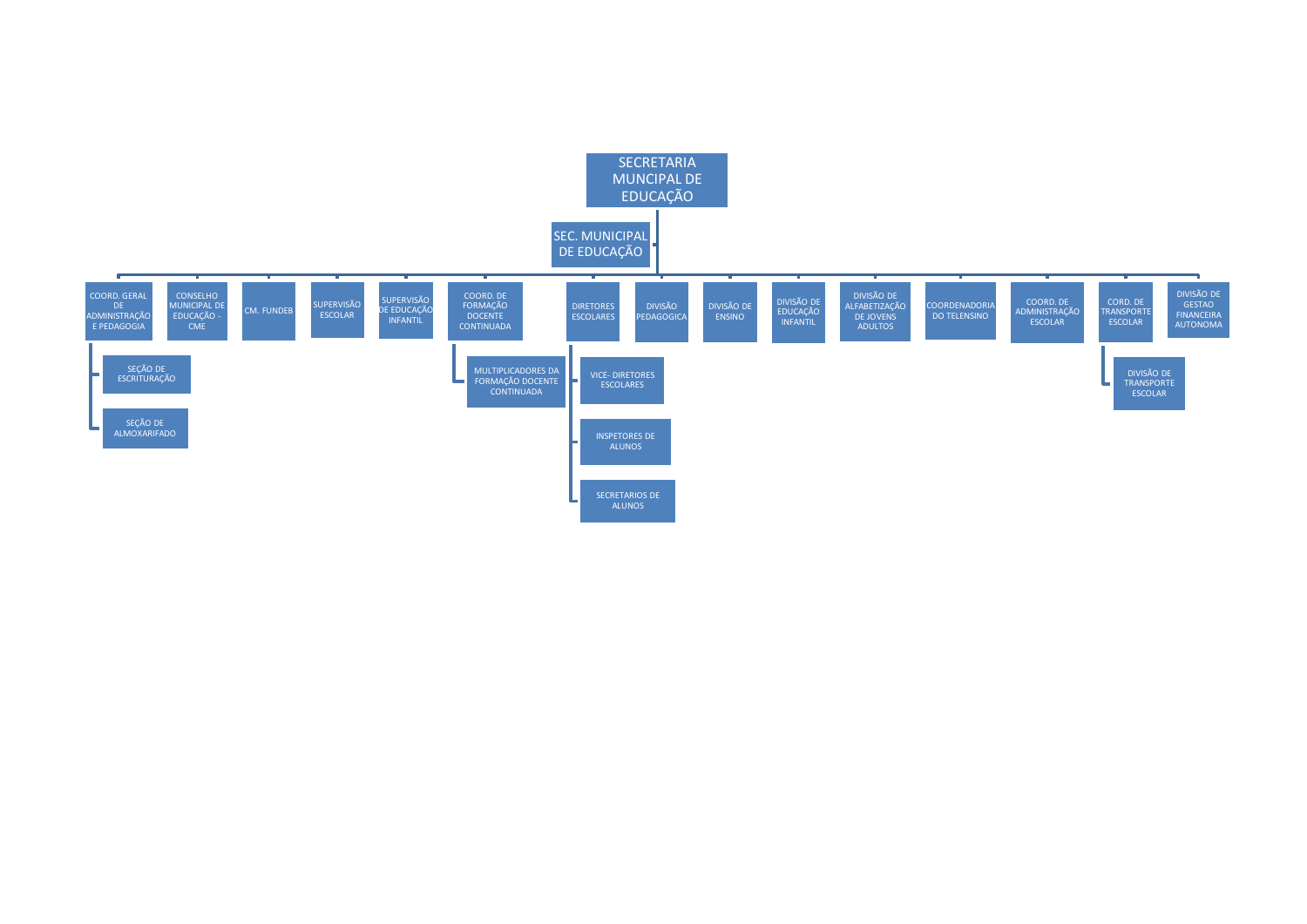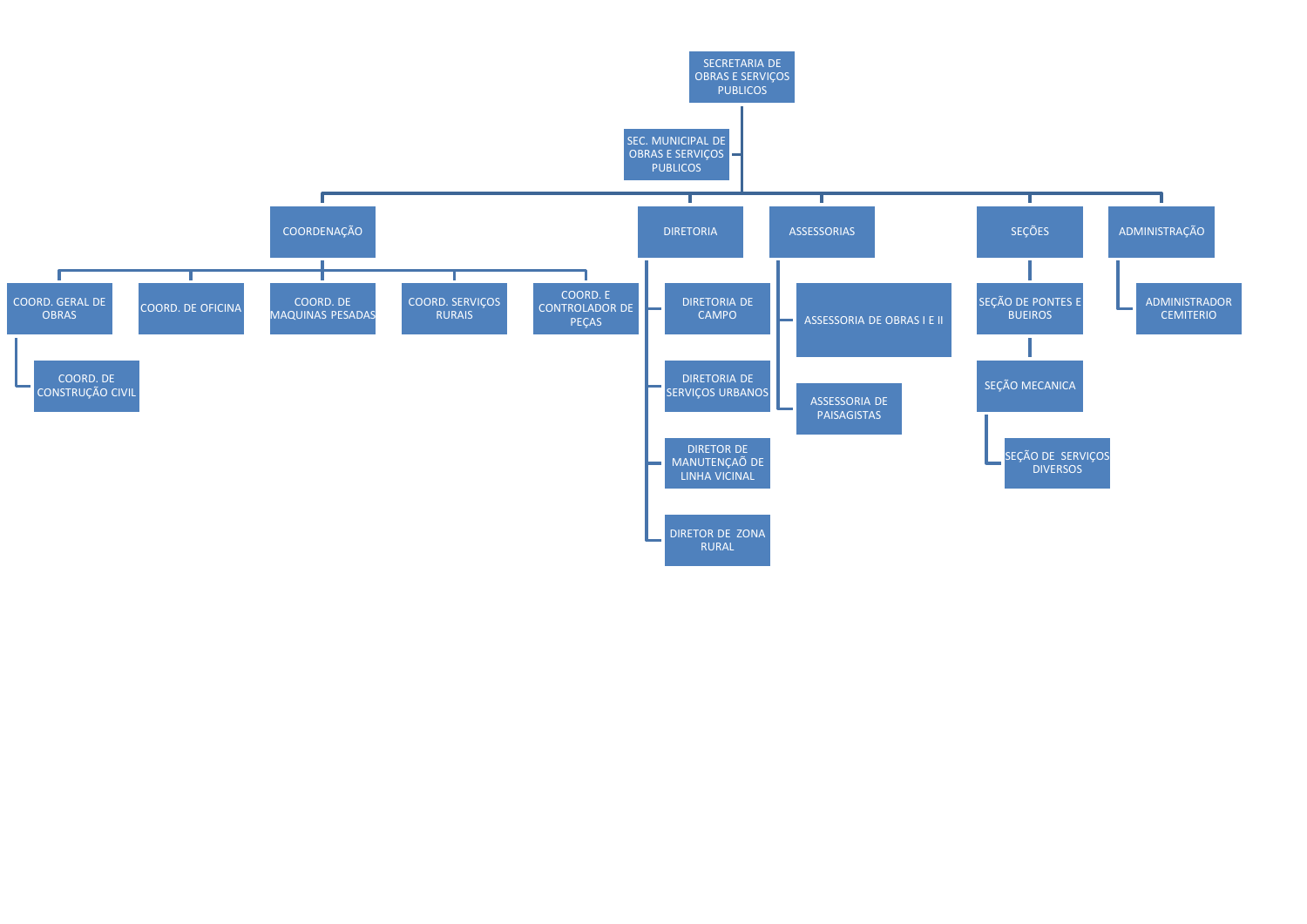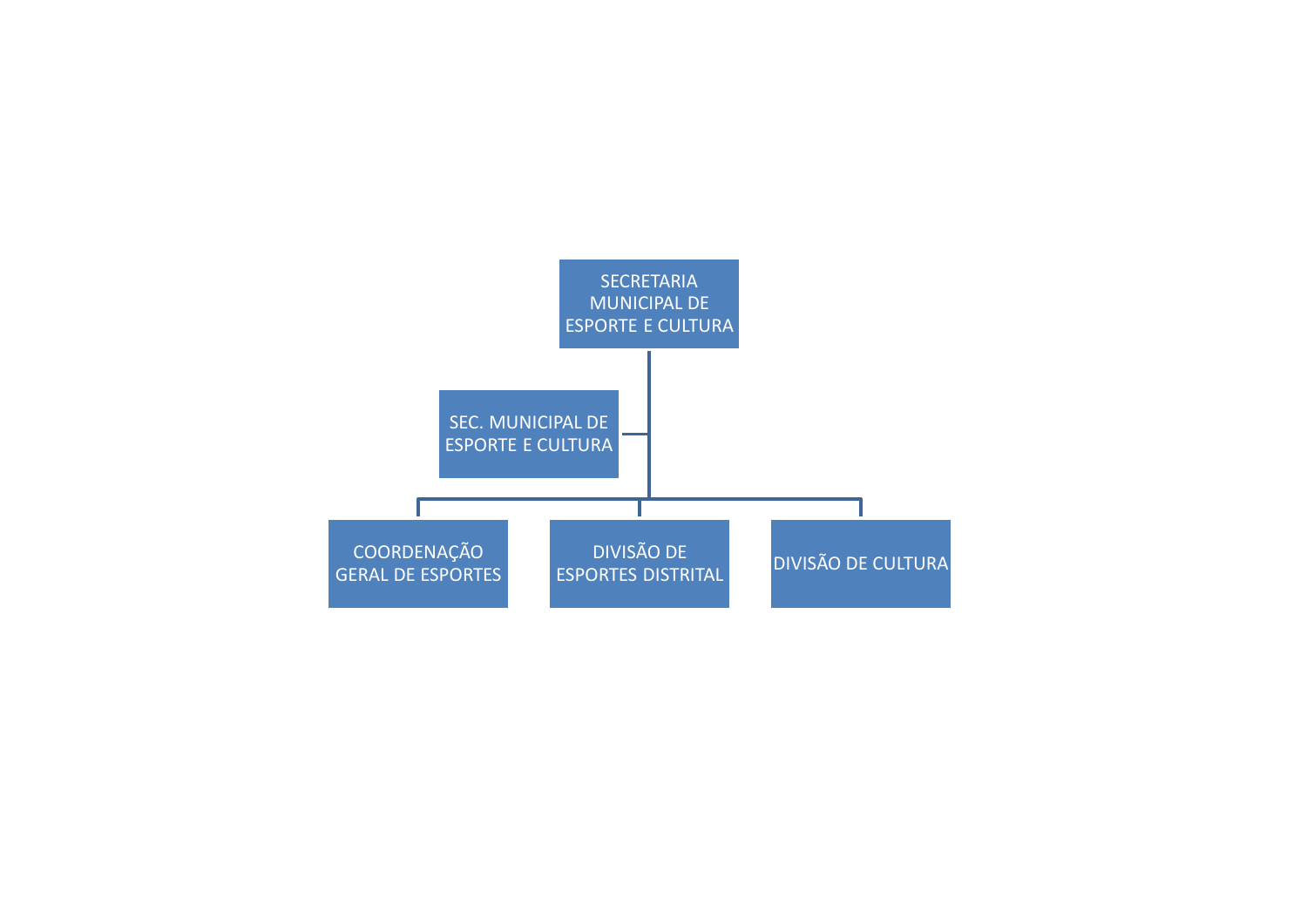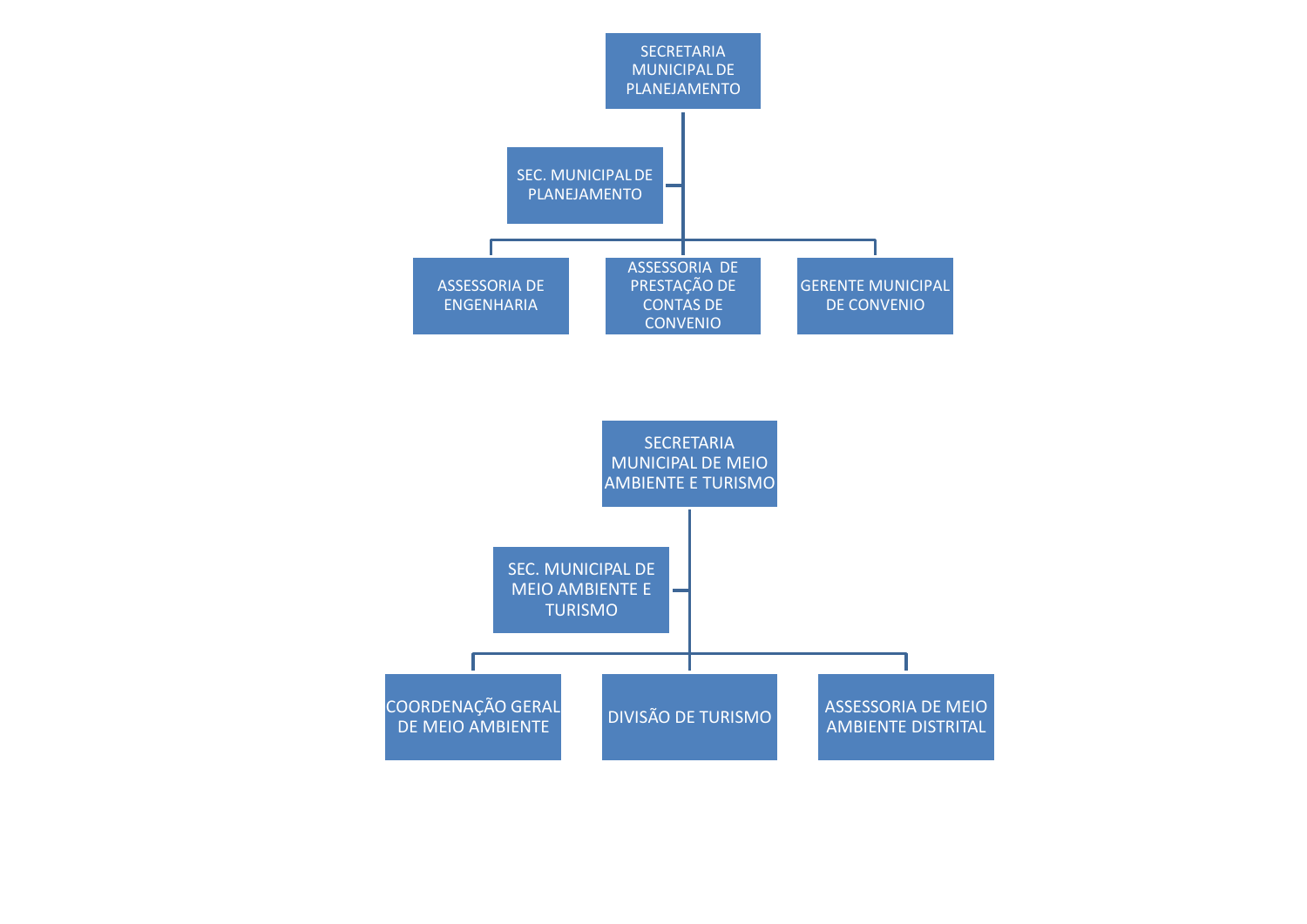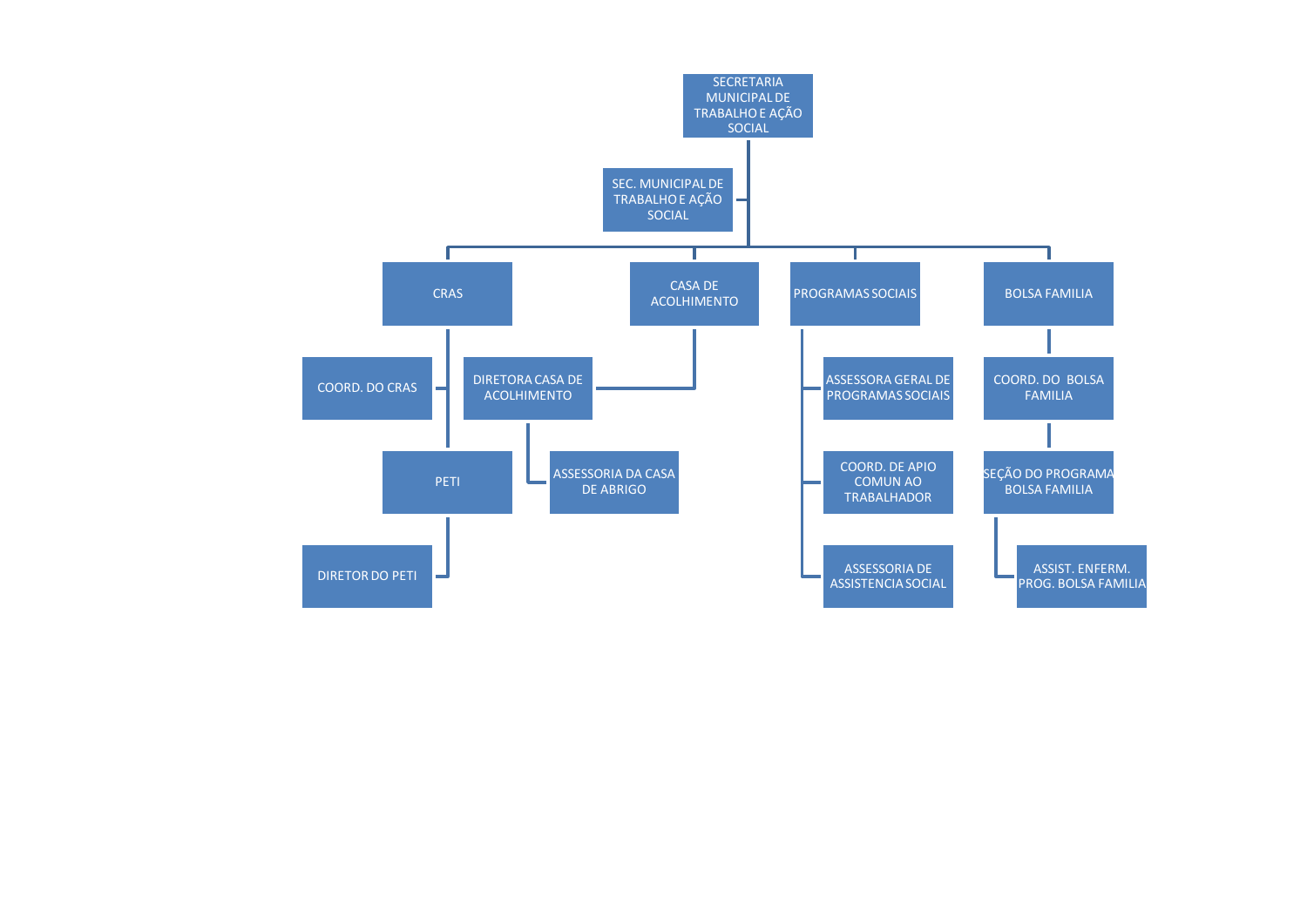